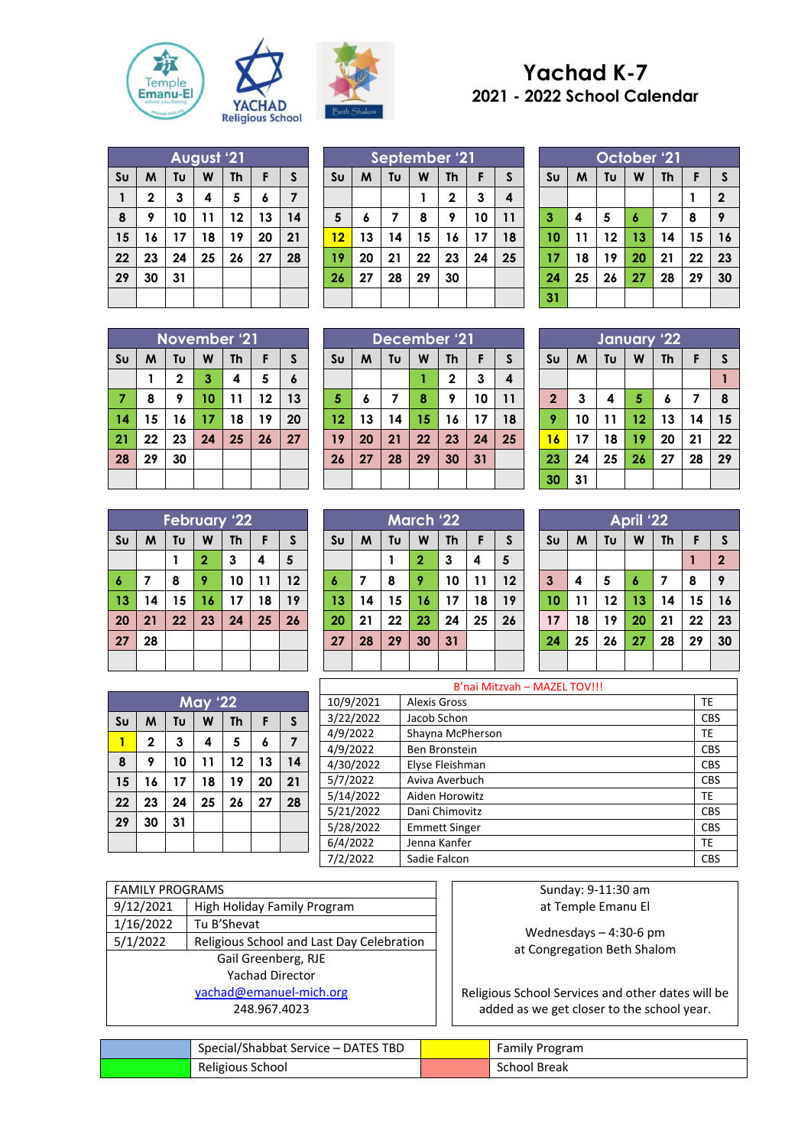



## **Yachad K-7 2021 - 2022 School Calendar**

|                | August '21  |    |    |           |    |    |  |  |  |  |
|----------------|-------------|----|----|-----------|----|----|--|--|--|--|
| S <sub>U</sub> | M           | Tu | W  | <b>Th</b> | F  | S  |  |  |  |  |
| 1              | $\mathbf 2$ | 3  | 4  | 5         | 6  | 7  |  |  |  |  |
| 8              | 9           | 10 | 11 | 12        | 13 | 14 |  |  |  |  |
| 15             | 16          | 17 | 18 | 19        | 20 | 21 |  |  |  |  |
| 22             | 23          | 24 | 25 | 26        | 27 | 28 |  |  |  |  |
| 29             | 30          | 31 |    |           |    |    |  |  |  |  |
|                |             |    |    |           |    |    |  |  |  |  |

|                | September '21 |    |    |              |    |              |  |
|----------------|---------------|----|----|--------------|----|--------------|--|
| S <sub>U</sub> | M             | Tυ | W  | <b>Th</b>    | F  | $\mathsf{s}$ |  |
|                |               |    |    | $\mathbf{2}$ | 3  | 4            |  |
| 5              | 6             | 7  | 8  | 9            | 10 | 11           |  |
| 12             | 13            | 14 | 15 | 16           | 17 | 18           |  |
| 19             | 20            | 21 | 22 | 23           | 24 | 25           |  |
| 26             | 27            | 28 | 29 | 30           |    |              |  |
|                |               |    |    |              |    |              |  |

|                | October '21 |    |    |           |    |              |  |  |  |  |
|----------------|-------------|----|----|-----------|----|--------------|--|--|--|--|
| S <sub>U</sub> | M           | Tυ | W  | <b>Th</b> | F  | S            |  |  |  |  |
|                |             |    |    |           |    | $\mathbf{2}$ |  |  |  |  |
| 3              | 4           | 5  | 6  | 7         | 8  | 9            |  |  |  |  |
| 10             | 11          | 12 | 13 | 14        | 15 | 16           |  |  |  |  |
| 17             | 18          | 19 | 20 | 21        | 22 | 23           |  |  |  |  |
| 24             | 25          | 26 | 27 | 28        | 29 | 30           |  |  |  |  |
| 31             |             |    |    |           |    |              |  |  |  |  |

**April '22**  $\mathbf{S} \cup \mathbf{M}$  **Tu**  $\mathbf{W}$  **Th F**  $\mathbf{S}$ 

 **4 5 6 7 8 9 11 12 13 14 15 16 18 19 20 21 22 23 25 26 27 28 29 30**

 $\begin{array}{|c|c|c|c|}\n\hline\n1 & 2\n\end{array}$ 

|                | November '21 |              |    |           |    |                  |  |  |  |  |
|----------------|--------------|--------------|----|-----------|----|------------------|--|--|--|--|
| $s_{U}$        | M            | Tυ           | W  | <b>Th</b> | F  | S                |  |  |  |  |
|                | 1            | $\mathbf{2}$ | 3  | 4         | 5  | $\boldsymbol{6}$ |  |  |  |  |
| $\overline{7}$ | 8            | 9            | 10 | 11        | 12 | 13               |  |  |  |  |
| 14             | 15           | 16           | 17 | 18        | 19 | 20               |  |  |  |  |
| 21             | 22           | 23           | 24 | 25        | 26 | 27               |  |  |  |  |
| 28             | 29           | 30           |    |           |    |                  |  |  |  |  |
|                |              |              |    |           |    |                  |  |  |  |  |

|                | December '21 |    |    |              |    |    |  |  |  |
|----------------|--------------|----|----|--------------|----|----|--|--|--|
| S <sub>U</sub> | M            | Tu | W  | <b>Th</b>    | F  | S  |  |  |  |
|                |              |    |    | $\mathbf{2}$ | 3  | 4  |  |  |  |
| $\overline{5}$ | 6            | 7  | 8  | 9            | 10 | 11 |  |  |  |
| 12             | 13           | 14 | 15 | 16           | 17 | 18 |  |  |  |
| 19             | 20           | 21 | 22 | 23           | 24 | 25 |  |  |  |
| 26             | 27           | 28 | 29 | 30           | 31 |    |  |  |  |
|                |              |    |    |              |    |    |  |  |  |

|                | January '22 |    |    |    |    |    |  |
|----------------|-------------|----|----|----|----|----|--|
| S <sub>U</sub> | M           | Tu | W  | Th | F  | S  |  |
|                |             |    |    |    |    |    |  |
| $\overline{2}$ | 3           | 4  | 5  | 6  |    | 8  |  |
| 9              | 10          | 11 | 12 | 13 | 14 | 15 |  |
| 16             | 17          | 18 | 19 | 20 | 21 | 22 |  |
| 23             | 24          | 25 | 26 | 27 | 28 | 29 |  |
| 30             | 31          |    |    |    |    |    |  |
|                |             |    |    |    |    |    |  |

|                | <b>February '22</b> |    |              |           |    |    |  |  |  |  |
|----------------|---------------------|----|--------------|-----------|----|----|--|--|--|--|
| S <sub>U</sub> | M                   | Tυ | W            | <b>Th</b> | F  | S  |  |  |  |  |
|                |                     |    | $\mathbf{2}$ | 3         | 4  | 5  |  |  |  |  |
| 6              | 7                   | 8  | 9            | 10        | 11 | 12 |  |  |  |  |
| 13             | 14                  | 15 | 16           | 17        | 18 | 19 |  |  |  |  |
| 20             | 21                  | 22 | 23           | 24        | 25 | 26 |  |  |  |  |
| 27             | 28                  |    |              |           |    |    |  |  |  |  |
|                |                     |    |              |           |    |    |  |  |  |  |

|                | <b>May '22</b> |    |    |           |    |                |  |  |  |  |
|----------------|----------------|----|----|-----------|----|----------------|--|--|--|--|
| S <sub>U</sub> | M              | Tu | W  | <b>Th</b> | F  | S              |  |  |  |  |
| 1              | $\mathbf 2$    | 3  | 4  | 5         | 6  | $\overline{7}$ |  |  |  |  |
| 8              | 9              | 10 | 11 | 12        | 13 | 14             |  |  |  |  |
| 15             | 16             | 17 | 18 | 19        | 20 | 21             |  |  |  |  |
| 22             | 23             | 24 | 25 | 26        | 27 | 28             |  |  |  |  |
| 29             | 30             | 31 |    |           |    |                |  |  |  |  |
|                |                |    |    |           |    |                |  |  |  |  |

|                | March '22 |    |              |           |    |    |  |  |
|----------------|-----------|----|--------------|-----------|----|----|--|--|
| S <sub>U</sub> | M         | Tu | W            | <b>Th</b> | F  | S  |  |  |
|                |           |    | $\mathbf{2}$ | 3         | 4  | 5  |  |  |
| 6              | 7         | 8  | 9            | 10        | 11 | 12 |  |  |
| 13             | 14        | 15 | 16           | 17        | 18 | 19 |  |  |
| 20             | 21        | 22 | 23           | 24        | 25 | 26 |  |  |
| 27             | 28        | 29 | 30           | 31        |    |    |  |  |
|                |           |    |              |           |    |    |  |  |

|           | B'nai Mitzvah - MAZEL TOV!!! |            |  |  |  |  |
|-----------|------------------------------|------------|--|--|--|--|
| 10/9/2021 | <b>Alexis Gross</b>          | <b>TE</b>  |  |  |  |  |
| 3/22/2022 | Jacob Schon                  | <b>CBS</b> |  |  |  |  |
| 4/9/2022  | Shayna McPherson             | TE         |  |  |  |  |
| 4/9/2022  | Ben Bronstein                | <b>CBS</b> |  |  |  |  |
| 4/30/2022 | Elyse Fleishman              | <b>CBS</b> |  |  |  |  |
| 5/7/2022  | Aviva Averbuch               | <b>CBS</b> |  |  |  |  |
| 5/14/2022 | Aiden Horowitz               | TE         |  |  |  |  |
| 5/21/2022 | Dani Chimovitz               | <b>CBS</b> |  |  |  |  |
| 5/28/2022 | <b>Emmett Singer</b>         | <b>CBS</b> |  |  |  |  |
| 6/4/2022  | Jenna Kanfer                 | TE         |  |  |  |  |
| 7/2/2022  | Sadie Falcon                 | <b>CBS</b> |  |  |  |  |

| <b>FAMILY PROGRAMS</b>  |                                           |  |  |  |  |
|-------------------------|-------------------------------------------|--|--|--|--|
| 9/12/2021               | High Holiday Family Program               |  |  |  |  |
| 1/16/2022               | Tu B'Shevat                               |  |  |  |  |
| 5/1/2022                | Religious School and Last Day Celebration |  |  |  |  |
|                         | Gail Greenberg, RJE                       |  |  |  |  |
|                         | <b>Yachad Director</b>                    |  |  |  |  |
| yachad@emanuel-mich.org |                                           |  |  |  |  |
|                         | 248.967.4023                              |  |  |  |  |
|                         |                                           |  |  |  |  |

Sunday: 9-11:30 am at Temple Emanu El

Wednesdays – 4:30-6 pm at Congregation Beth Shalom

Religious School Services and other dates will be added as we get closer to the school year.

| Special/Shabbat Service - DATES TBD | <b>Family Program</b> |
|-------------------------------------|-----------------------|
| Religious School                    | School Break          |